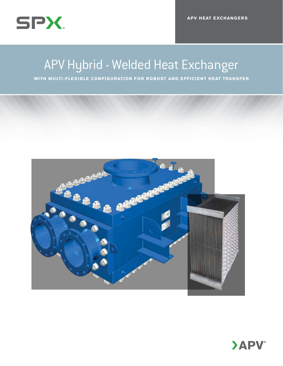

## APV Hybrid - Welded Heat Exchanger

**WITH MULTI-FLEXIBLE CONFIGURATION FOR ROBUST AND EFFICIENT HEAT TRANSFER** 



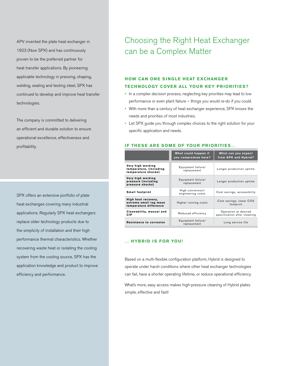APV invented the plate heat exchanger in 1923 (Now SPX) and has continuously proven to be the preferred partner for heat transfer applications. By pioneering applicable technology in pressing, shaping, welding, sealing and testing steel, SPX has continued to develop and improve heat transfer technologies.

The company is committed to delivering an efficient and durable solution to ensure operational excellence, effectiveness and profitability.

SPX offers an extensive portfolio of plate heat exchanges covering many industrial applications. Regularly SPX heat exchangers replace older technology products due to the simplicity of installation and their high performance thermal characteristics. Whether recovering waste heat or isolating the cooling system from the cooling source, SPX has the application knowledge and product to improve efficiency and performance.

### Choosing the Right Heat Exchanger can be a Complex Matter

### **HOW CAN ONE SINGLE HEAT EXCHANGER tech nology cover all your key priorities?**

- In a complex decision process, neglecting key priorities may lead to low performance or even plant failure – things you would re-do if you could.
- • With more than a century of heat exchanger experience, SPX knows the needs and priorities of most industries.
- Let SPX guide you through complex choices to the right solution for your specific application and needs.

#### **IF THESE ARE SOME OF YOUR PRIORITIES...**

|                                                                         | What could happen if<br>you compromise here? | What can you expect<br>from SPX and Hybrid?          |  |  |
|-------------------------------------------------------------------------|----------------------------------------------|------------------------------------------------------|--|--|
| Very high working<br>temperature, (including<br>temperature shocks)     | Equipment failure/<br>replacement            | Longer production uptime                             |  |  |
| Very high working<br>pressure (including<br>pressure shocks)            | Equipment failure/<br>replacement            | Longer production uptime                             |  |  |
| <b>Small footprint</b>                                                  | High conversion/<br>engineering costs        | Cost savings, accessibility                          |  |  |
| High heat recovery,<br>extreme small log mean<br>temperature difference | Higher running costs                         | Cost savings, lower CO2<br>footprint                 |  |  |
| Cleanability, manual and<br><b>CIP</b>                                  | Reduced efficiency                           | Operation at desired<br>specification after cleaning |  |  |
| Resistance to corrosion                                                 | Equipment failure/<br>replacement            | Long service life                                    |  |  |

#### **… Hybrid is for you!**

Based on a multi-flexible configuration platform, Hybrid is designed to operate under harsh conditions where other heat exchanger technologies can fail, have a shorter operating lifetime, or reduce operational efficiency.

What's more, easy access makes high-pressure cleaning of Hybrid plates simple, effective and fast!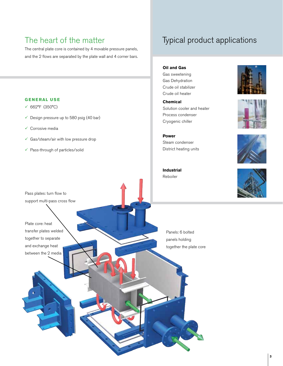### The heart of the matter

The central plate core is contained by 4 movable pressure panels, and the 2 flows are separated by the plate wall and 4 corner bars.

### **G eneral use**

- 662°F (350°C)
- $\checkmark$  Design pressure up to 580 psig (40 bar)
- $\checkmark$  Corrosive media

Pass plates: turn flow to support multi-pass cross flow

Plate core: heat

transfer plates welded together to separate and exchange heat between the 2 media

- $\checkmark$  Gas/steam/air with low pressure drop
- $\checkmark$  Pass-through of particles/solid

### Typical product applications

**Oil and Gas** Gas sweetening Gas Dehydration Crude oil stabilizer Crude oil heater

**Chemical** Solution cooler and heater Process condenser Cryogenic chiller

**Power** Steam condenser District heating units









**Industrial** Reboiler

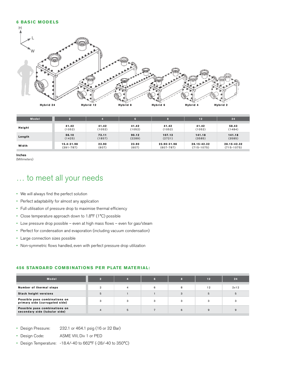#### **6 basic models**



| Model  |               |        |        |               | 12           | 24           |
|--------|---------------|--------|--------|---------------|--------------|--------------|
| Height | 41.42         | 41.42  | 41.42  | 41.42         | 41.42        | 58.43        |
|        | (1052)        | (1052) | (1052) | (1052)        | (1052)       | (1484)       |
| Length | 56.10         | 73.11  | 90.12  | 107.13        | 141.18       | 141.18       |
|        | (1425)        | (1857) | (2289) | (2721)        | (3585)       | (3585)       |
| Width  | 15.4-31.98    | 23.90  | 23.90  | 23.90-31.98   | 28.15-42.32  | 28.15-42.32  |
|        | $(391 - 787)$ | (607)  | (607)  | $(607 - 787)$ | $(715-1075)$ | $(715-1075)$ |

Inches

(Millimeters)

### … to meet all your needs

- • We will always find the perfect solution
- Perfect adaptability for almost any application
- • Full utilisation of pressure drop to maximise thermal efficiency
- • Close temperature approach down to 1.8°F (1°C) possible
- • Low pressure drop possible even at high mass flows even for gas/steam
- Perfect for condensation and evaporation (including vacuum condensation)
- • Large connection sizes possible
- • Non-symmetric flows handled, even with perfect pressure drop utilization

#### **456 stan dard Combinations per plate material:**

| <b>Model</b>                                                    |   |   | G |   | 12 | 24   |
|-----------------------------------------------------------------|---|---|---|---|----|------|
| Number of thermal steps                                         |   |   | 6 |   | 12 | 2x12 |
| <b>Stack height versions</b>                                    | 5 |   |   | 3 | 5  |      |
| Possible pass combinations on<br>primary side (currugated side) |   |   | з |   | 3  |      |
| Possible pass combinations on<br>secondary side (tubular side)  |   | 5 |   | 6 | 9  |      |

- • Design Pressure: 232.1 or 464.1 psig (16 or 32 Bar)
- • Design Code: ASME VIII, Div 1 or PED
- • Design Temperature: -18.4/-40 to 662°F (-28/-40 to 350°C)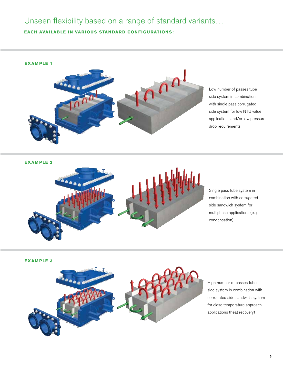### Unseen flexibility based on a range of standard variants…

**EACH AVAILABLE IN VARIOUS STANDARD CONFIGURATIONS:** 



Low number of passes tube side system in combination with single pass corrugated side system for low NTU value applications and/or low pressure drop requirements

**Example 2**



Single pass tube system in combination with corrugated side sandwich system for multiphase applications (e.g. condensation)

**Example 3**



High number of passes tube side system in combination with corrugated side sandwich system for close temperature approach applications (heat recovery)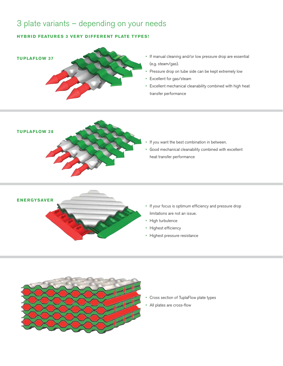### 3 plate variants – depending on your needs

#### **Hybrid features 3 very different plate types!**



- If manual cleaning and/or low pressure drop are essential (e.g. steam/gas).
- Pressure drop on tube side can be kept extremely low
- • Excellent for gas/steam
- • Excellent mechanical cleanability combined with high heat transfer performance



- If you want the best combination in between.
- • Good mechanical cleanability combined with excellent heat transfer performance



- • If your focus is optimum efficiency and pressure drop
- 
- 
- • Highest efficiency
- • Highest pressure resistance



- Cross section of TuplaFlow plate types
- All plates are cross-flow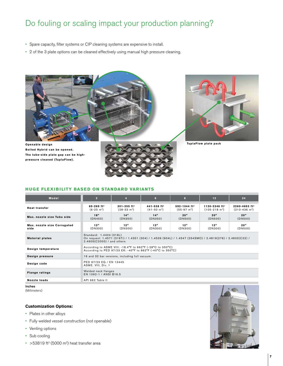### Do fouling or scaling impact your production planning?

- • Spare capacity, filter systems or CIP cleaning systems are expensive to install.
- • 2 of the 3 plate options can be cleaned effectively using manual high pressure cleaning.



**Bolted Hybrid can be opened. The tube-side plate gap can be highpressure cleaned (TuplaFlow).**





#### **HUGE FLEXIBILITY BASED ON STANDARD VARIANTS**

| <b>Model</b>                        | 2 <sup>1</sup>                                                                                                                                                     | $\overline{4}$                                       | 6                                                    | $\mathbf{a}$                                          | 12                                          | 24                                                              |  |  |
|-------------------------------------|--------------------------------------------------------------------------------------------------------------------------------------------------------------------|------------------------------------------------------|------------------------------------------------------|-------------------------------------------------------|---------------------------------------------|-----------------------------------------------------------------|--|--|
| <b>Heat transfer</b>                | $65 - 269$ ft <sup>2</sup><br>$(6-25 \text{ m}^2)$                                                                                                                 | $301 - 355$ ft <sup>2</sup><br>$(28-33 \text{ m}^2)$ | $441 - 538$ ft <sup>2</sup><br>$(41-50 \text{ m}^2)$ | $592 - 1044$ ft <sup>2</sup><br>$(55-97 \text{ m}^2)$ | 1130-2346 $ft^2$<br>$(105-218 \text{ m}^2)$ | $2260 - 4693$ ft <sup>2</sup><br>$(210 - 436)$ m <sup>2</sup> ) |  |  |
| Max, nozzle size Tubu side          | 18"<br>(DN450)                                                                                                                                                     | 14"<br>(DN350)                                       | 14"<br>(DN350)                                       | 20"<br>(DN500)                                        | 20"<br>(DN500)                              | 20"<br>(DN500)                                                  |  |  |
| Max. nozzle size Corrugated<br>side | 12 <sup>n</sup><br>(DN300)                                                                                                                                         | 12"<br>(DN300)                                       | 12"<br>(DN300)                                       | 12 <sup>n</sup><br>(DN300)                            | 12"<br>(DN300)                              | 20"<br>(DN500)                                                  |  |  |
| <b>Material plates</b>              | Standard: 1.4404 (316L)<br>On request: 1.4571 (316Ti) / 1.4301 (304) / 1.4539 (904L) / 1.4547 (254SMO) / 2.4819(276) / 2.4602(C22) /<br>2.4605(C2000) / and others |                                                      |                                                      |                                                       |                                             |                                                                 |  |  |
| Design temperature                  | According to ASME VIII: -18.4°F to 662°F (-28°C to 350°C)<br>According to PED 97/23 EK: -40°F to 662°F (-40°C to 350°C)                                            |                                                      |                                                      |                                                       |                                             |                                                                 |  |  |
| Design pressure                     | 16 and 32 bar versions, including full vacuum.                                                                                                                     |                                                      |                                                      |                                                       |                                             |                                                                 |  |  |
| Design code                         | PED 97/23 EG / EN 13445<br>ASME. VIII, Div. 1                                                                                                                      |                                                      |                                                      |                                                       |                                             |                                                                 |  |  |
| <b>Flange ratings</b>               | Welded neck flanges<br>EN 1092-1 / ANSI B16.5                                                                                                                      |                                                      |                                                      |                                                       |                                             |                                                                 |  |  |
| Nozzle loads                        | API 662 Table II                                                                                                                                                   |                                                      |                                                      |                                                       |                                             |                                                                 |  |  |

Inches

(Millimeters)

#### **Customization Options:**

- Plates in other alloys
- • Fully welded vessel construction (not openable)
- Venting options
- Sub cooling
- $\cdot$  >53819 ft<sup>2</sup> (5000 m<sup>2</sup>) heat transfer area